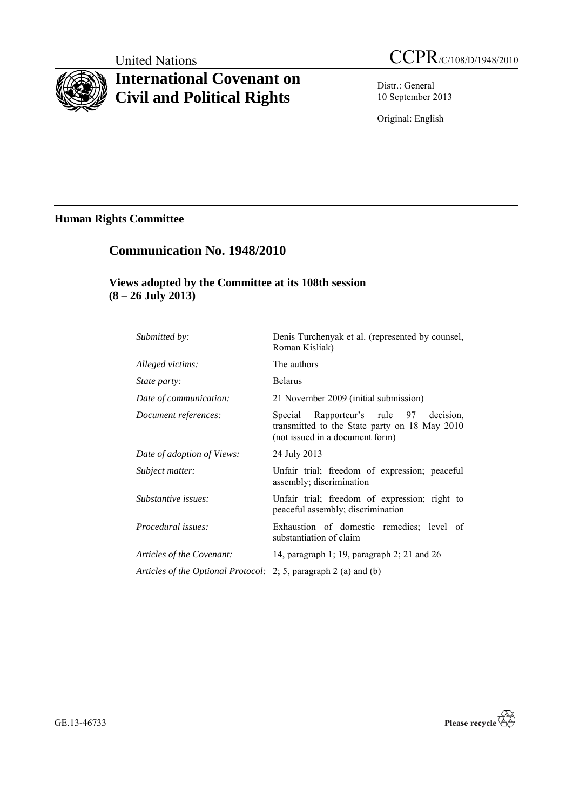# **International Covenant on Civil and Political Rights**

United Nations CCPR/C/108/D/1948/2010

Distr.: General 10 September 2013

Original: English

# **Human Rights Committee**

# **Communication No. 1948/2010**

# **Views adopted by the Committee at its 108th session (8 – 26 July 2013)**

| Submitted by:                                                    | Denis Turchenyak et al. (represented by counsel,<br>Roman Kisliak)                                                         |
|------------------------------------------------------------------|----------------------------------------------------------------------------------------------------------------------------|
| Alleged victims:                                                 | The authors                                                                                                                |
| <i>State party:</i>                                              | <b>Belarus</b>                                                                                                             |
| Date of communication:                                           | 21 November 2009 (initial submission)                                                                                      |
| Document references:                                             | Special Rapporteur's rule 97 decision,<br>transmitted to the State party on 18 May 2010<br>(not issued in a document form) |
| Date of adoption of Views:                                       | 24 July 2013                                                                                                               |
| Subject matter:                                                  | Unfair trial; freedom of expression; peaceful<br>assembly; discrimination                                                  |
| Substantive issues:                                              | Unfair trial; freedom of expression; right to<br>peaceful assembly; discrimination                                         |
| <i>Procedural issues:</i>                                        | Exhaustion of domestic remedies; level of<br>substantiation of claim                                                       |
| Articles of the Covenant:                                        | 14, paragraph 1; 19, paragraph 2; 21 and 26                                                                                |
| Articles of the Optional Protocol: 2; 5, paragraph 2 (a) and (b) |                                                                                                                            |



GE.13-46733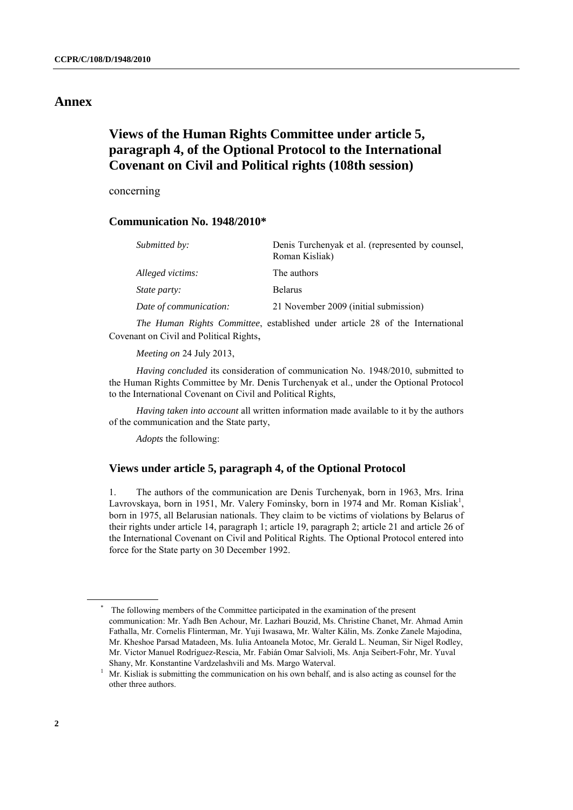# **Annex**

# **Views of the Human Rights Committee under article 5, paragraph 4, of the Optional Protocol to the International Covenant on Civil and Political rights (108th session)**

concerning

## **Communication No. 1948/2010\***

| Submitted by:          | Denis Turchenyak et al. (represented by counsel,<br>Roman Kisliak) |
|------------------------|--------------------------------------------------------------------|
| Alleged victims:       | The authors                                                        |
| <i>State party:</i>    | <b>Belarus</b>                                                     |
| Date of communication: | 21 November 2009 (initial submission)                              |
|                        |                                                                    |

*The Human Rights Committee*, established under article 28 of the International Covenant on Civil and Political Rights,

*Meeting on* 24 July 2013,

*Having concluded* its consideration of communication No. 1948/2010, submitted to the Human Rights Committee by Mr. Denis Turchenyak et al., under the Optional Protocol to the International Covenant on Civil and Political Rights,

*Having taken into account* all written information made available to it by the authors of the communication and the State party,

*Adopts* the following:

### **Views under article 5, paragraph 4, of the Optional Protocol**

1. The authors of the communication are Denis Turchenyak, born in 1963, Mrs. Irina Lavrovskaya, born in 1951, Mr. Valery Fominsky, born in 1974 and Mr. Roman Kisliak<sup>1</sup>, born in 1975, all Belarusian nationals. They claim to be victims of violations by Belarus of their rights under article 14, paragraph 1; article 19, paragraph 2; article 21 and article 26 of the International Covenant on Civil and Political Rights. The Optional Protocol entered into force for the State party on 30 December 1992.

The following members of the Committee participated in the examination of the present communication: Mr. Yadh Ben Achour, Mr. Lazhari Bouzid, Ms. Christine Chanet, Mr. Ahmad Amin Fathalla, Mr. Cornelis Flinterman, Mr. Yuji Iwasawa, Mr. Walter Kälin, Ms. Zonke Zanele Majodina, Mr. Kheshoe Parsad Matadeen, Ms. Iulia Antoanela Motoc, Mr. Gerald L. Neuman, Sir Nigel Rodley, Mr. Victor Manuel Rodríguez-Rescia, Mr. Fabián Omar Salvioli, Ms. Anja Seibert-Fohr, Mr. Yuval Shany, Mr. Konstantine Vardzelashvili and Ms. Margo Waterval.

<sup>&</sup>lt;sup>1</sup> Mr. Kisliak is submitting the communication on his own behalf, and is also acting as counsel for the other three authors.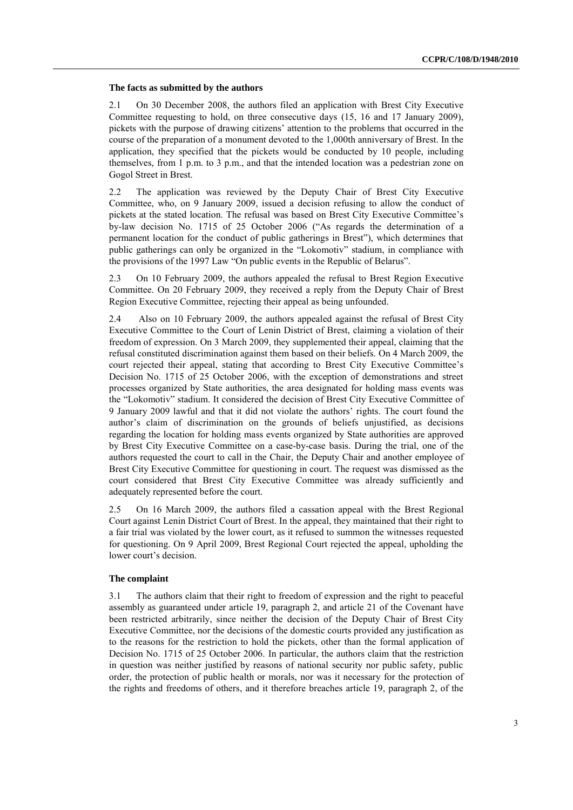#### **The facts as submitted by the authors**

2.1 On 30 December 2008, the authors filed an application with Brest City Executive Committee requesting to hold, on three consecutive days (15, 16 and 17 January 2009), pickets with the purpose of drawing citizens' attention to the problems that occurred in the course of the preparation of a monument devoted to the 1,000th anniversary of Brest. In the application, they specified that the pickets would be conducted by 10 people, including themselves, from 1 p.m. to 3 p.m., and that the intended location was a pedestrian zone on Gogol Street in Brest.

2.2 The application was reviewed by the Deputy Chair of Brest City Executive Committee, who, on 9 January 2009, issued a decision refusing to allow the conduct of pickets at the stated location. The refusal was based on Brest City Executive Committee's by-law decision No. 1715 of 25 October 2006 ("As regards the determination of a permanent location for the conduct of public gatherings in Brest"), which determines that public gatherings can only be organized in the "Lokomotiv" stadium, in compliance with the provisions of the 1997 Law "On public events in the Republic of Belarus".

2.3 On 10 February 2009, the authors appealed the refusal to Brest Region Executive Committee. On 20 February 2009, they received a reply from the Deputy Chair of Brest Region Executive Committee, rejecting their appeal as being unfounded.

2.4 Also on 10 February 2009, the authors appealed against the refusal of Brest City Executive Committee to the Court of Lenin District of Brest, claiming a violation of their freedom of expression. On 3 March 2009, they supplemented their appeal, claiming that the refusal constituted discrimination against them based on their beliefs. On 4 March 2009, the court rejected their appeal, stating that according to Brest City Executive Committee's Decision No. 1715 of 25 October 2006, with the exception of demonstrations and street processes organized by State authorities, the area designated for holding mass events was the "Lokomotiv" stadium. It considered the decision of Brest City Executive Committee of 9 January 2009 lawful and that it did not violate the authors' rights. The court found the author's claim of discrimination on the grounds of beliefs unjustified, as decisions regarding the location for holding mass events organized by State authorities are approved by Brest City Executive Committee on a case-by-case basis. During the trial, one of the authors requested the court to call in the Chair, the Deputy Chair and another employee of Brest City Executive Committee for questioning in court. The request was dismissed as the court considered that Brest City Executive Committee was already sufficiently and adequately represented before the court.

2.5 On 16 March 2009, the authors filed a cassation appeal with the Brest Regional Court against Lenin District Court of Brest. In the appeal, they maintained that their right to a fair trial was violated by the lower court, as it refused to summon the witnesses requested for questioning. On 9 April 2009, Brest Regional Court rejected the appeal, upholding the lower court's decision.

#### **The complaint**

3.1 The authors claim that their right to freedom of expression and the right to peaceful assembly as guaranteed under article 19, paragraph 2, and article 21 of the Covenant have been restricted arbitrarily, since neither the decision of the Deputy Chair of Brest City Executive Committee, nor the decisions of the domestic courts provided any justification as to the reasons for the restriction to hold the pickets, other than the formal application of Decision No. 1715 of 25 October 2006. In particular, the authors claim that the restriction in question was neither justified by reasons of national security nor public safety, public order, the protection of public health or morals, nor was it necessary for the protection of the rights and freedoms of others, and it therefore breaches article 19, paragraph 2, of the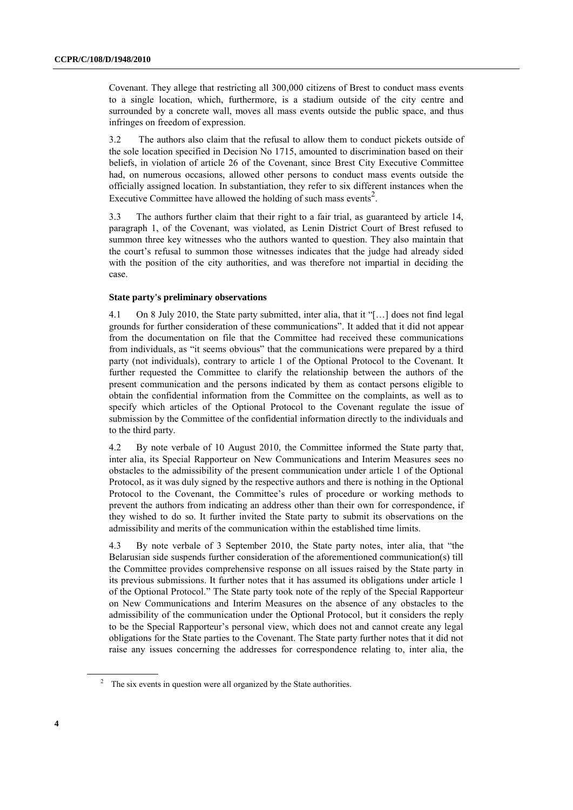Covenant. They allege that restricting all 300,000 citizens of Brest to conduct mass events to a single location, which, furthermore, is a stadium outside of the city centre and surrounded by a concrete wall, moves all mass events outside the public space, and thus infringes on freedom of expression.

3.2 The authors also claim that the refusal to allow them to conduct pickets outside of the sole location specified in Decision No 1715, amounted to discrimination based on their beliefs, in violation of article 26 of the Covenant, since Brest City Executive Committee had, on numerous occasions, allowed other persons to conduct mass events outside the officially assigned location. In substantiation, they refer to six different instances when the Executive Committee have allowed the holding of such mass events<sup>2</sup>.

3.3 The authors further claim that their right to a fair trial, as guaranteed by article 14, paragraph 1, of the Covenant, was violated, as Lenin District Court of Brest refused to summon three key witnesses who the authors wanted to question. They also maintain that the court's refusal to summon those witnesses indicates that the judge had already sided with the position of the city authorities, and was therefore not impartial in deciding the case.

#### **State party's preliminary observations**

4.1 On 8 July 2010, the State party submitted, inter alia, that it "[…] does not find legal grounds for further consideration of these communications". It added that it did not appear from the documentation on file that the Committee had received these communications from individuals, as "it seems obvious" that the communications were prepared by a third party (not individuals), contrary to article 1 of the Optional Protocol to the Covenant. It further requested the Committee to clarify the relationship between the authors of the present communication and the persons indicated by them as contact persons eligible to obtain the confidential information from the Committee on the complaints, as well as to specify which articles of the Optional Protocol to the Covenant regulate the issue of submission by the Committee of the confidential information directly to the individuals and to the third party.

4.2 By note verbale of 10 August 2010, the Committee informed the State party that, inter alia, its Special Rapporteur on New Communications and Interim Measures sees no obstacles to the admissibility of the present communication under article 1 of the Optional Protocol, as it was duly signed by the respective authors and there is nothing in the Optional Protocol to the Covenant, the Committee's rules of procedure or working methods to prevent the authors from indicating an address other than their own for correspondence, if they wished to do so. It further invited the State party to submit its observations on the admissibility and merits of the communication within the established time limits.

4.3 By note verbale of 3 September 2010, the State party notes, inter alia, that "the Belarusian side suspends further consideration of the aforementioned communication(s) till the Committee provides comprehensive response on all issues raised by the State party in its previous submissions. It further notes that it has assumed its obligations under article 1 of the Optional Protocol." The State party took note of the reply of the Special Rapporteur on New Communications and Interim Measures on the absence of any obstacles to the admissibility of the communication under the Optional Protocol, but it considers the reply to be the Special Rapporteur's personal view, which does not and cannot create any legal obligations for the State parties to the Covenant. The State party further notes that it did not raise any issues concerning the addresses for correspondence relating to, inter alia, the

<sup>&</sup>lt;sup>2</sup> The six events in question were all organized by the State authorities.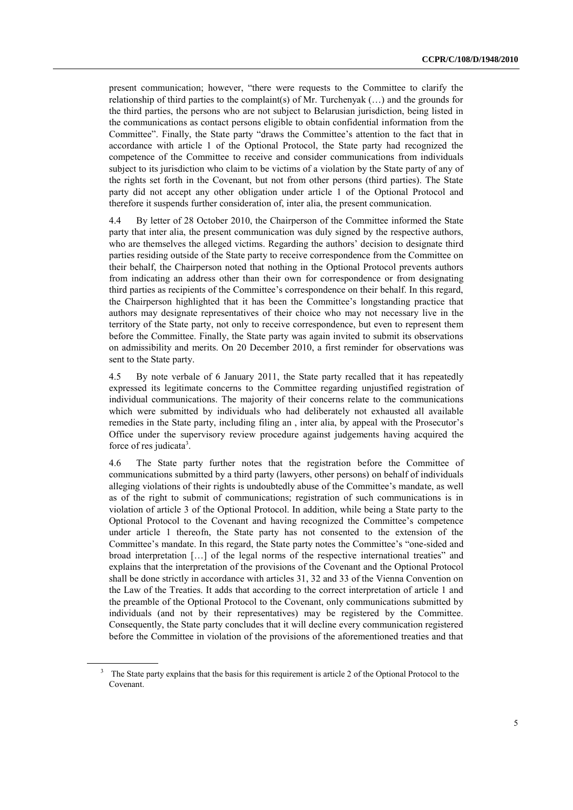present communication; however, "there were requests to the Committee to clarify the relationship of third parties to the complaint(s) of Mr. Turchenyak (…) and the grounds for the third parties, the persons who are not subject to Belarusian jurisdiction, being listed in the communications as contact persons eligible to obtain confidential information from the Committee". Finally, the State party "draws the Committee's attention to the fact that in accordance with article 1 of the Optional Protocol, the State party had recognized the competence of the Committee to receive and consider communications from individuals subject to its jurisdiction who claim to be victims of a violation by the State party of any of the rights set forth in the Covenant, but not from other persons (third parties). The State party did not accept any other obligation under article 1 of the Optional Protocol and therefore it suspends further consideration of, inter alia, the present communication.

4.4 By letter of 28 October 2010, the Chairperson of the Committee informed the State party that inter alia, the present communication was duly signed by the respective authors, who are themselves the alleged victims. Regarding the authors' decision to designate third parties residing outside of the State party to receive correspondence from the Committee on their behalf, the Chairperson noted that nothing in the Optional Protocol prevents authors from indicating an address other than their own for correspondence or from designating third parties as recipients of the Committee's correspondence on their behalf. In this regard, the Chairperson highlighted that it has been the Committee's longstanding practice that authors may designate representatives of their choice who may not necessary live in the territory of the State party, not only to receive correspondence, but even to represent them before the Committee. Finally, the State party was again invited to submit its observations on admissibility and merits. On 20 December 2010, a first reminder for observations was sent to the State party.

4.5 By note verbale of 6 January 2011, the State party recalled that it has repeatedly expressed its legitimate concerns to the Committee regarding unjustified registration of individual communications. The majority of their concerns relate to the communications which were submitted by individuals who had deliberately not exhausted all available remedies in the State party, including filing an , inter alia, by appeal with the Prosecutor's Office under the supervisory review procedure against judgements having acquired the force of res judicata<sup>3</sup>.

4.6 The State party further notes that the registration before the Committee of communications submitted by a third party (lawyers, other persons) on behalf of individuals alleging violations of their rights is undoubtedly abuse of the Committee's mandate, as well as of the right to submit of communications; registration of such communications is in violation of article 3 of the Optional Protocol. In addition, while being a State party to the Optional Protocol to the Covenant and having recognized the Committee's competence under article 1 thereofn, the State party has not consented to the extension of the Committee's mandate. In this regard, the State party notes the Committee's "one-sided and broad interpretation […] of the legal norms of the respective international treaties" and explains that the interpretation of the provisions of the Covenant and the Optional Protocol shall be done strictly in accordance with articles 31, 32 and 33 of the Vienna Convention on the Law of the Treaties. It adds that according to the correct interpretation of article 1 and the preamble of the Optional Protocol to the Covenant, only communications submitted by individuals (and not by their representatives) may be registered by the Committee. Consequently, the State party concludes that it will decline every communication registered before the Committee in violation of the provisions of the aforementioned treaties and that

The State party explains that the basis for this requirement is article 2 of the Optional Protocol to the Covenant.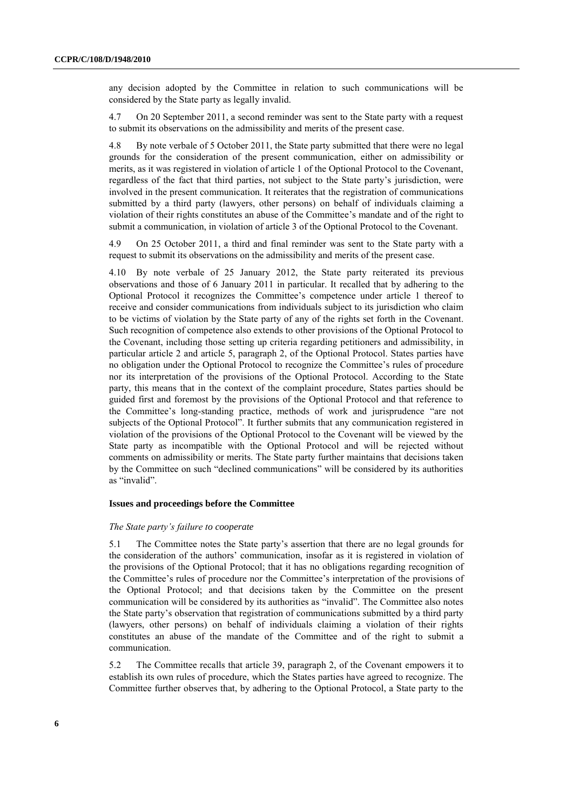any decision adopted by the Committee in relation to such communications will be considered by the State party as legally invalid.

4.7 On 20 September 2011, a second reminder was sent to the State party with a request to submit its observations on the admissibility and merits of the present case.

4.8 By note verbale of 5 October 2011, the State party submitted that there were no legal grounds for the consideration of the present communication, either on admissibility or merits, as it was registered in violation of article 1 of the Optional Protocol to the Covenant, regardless of the fact that third parties, not subject to the State party's jurisdiction, were involved in the present communication. It reiterates that the registration of communications submitted by a third party (lawyers, other persons) on behalf of individuals claiming a violation of their rights constitutes an abuse of the Committee's mandate and of the right to submit a communication, in violation of article 3 of the Optional Protocol to the Covenant.

4.9 On 25 October 2011, a third and final reminder was sent to the State party with a request to submit its observations on the admissibility and merits of the present case.

4.10 By note verbale of 25 January 2012, the State party reiterated its previous observations and those of 6 January 2011 in particular. It recalled that by adhering to the Optional Protocol it recognizes the Committee's competence under article 1 thereof to receive and consider communications from individuals subject to its jurisdiction who claim to be victims of violation by the State party of any of the rights set forth in the Covenant. Such recognition of competence also extends to other provisions of the Optional Protocol to the Covenant, including those setting up criteria regarding petitioners and admissibility, in particular article 2 and article 5, paragraph 2, of the Optional Protocol. States parties have no obligation under the Optional Protocol to recognize the Committee's rules of procedure nor its interpretation of the provisions of the Optional Protocol. According to the State party, this means that in the context of the complaint procedure, States parties should be guided first and foremost by the provisions of the Optional Protocol and that reference to the Committee's long-standing practice, methods of work and jurisprudence "are not subjects of the Optional Protocol". It further submits that any communication registered in violation of the provisions of the Optional Protocol to the Covenant will be viewed by the State party as incompatible with the Optional Protocol and will be rejected without comments on admissibility or merits. The State party further maintains that decisions taken by the Committee on such "declined communications" will be considered by its authorities as "invalid".

#### **Issues and proceedings before the Committee**

#### *The State party's failure to cooperate*

5.1 The Committee notes the State party's assertion that there are no legal grounds for the consideration of the authors' communication, insofar as it is registered in violation of the provisions of the Optional Protocol; that it has no obligations regarding recognition of the Committee's rules of procedure nor the Committee's interpretation of the provisions of the Optional Protocol; and that decisions taken by the Committee on the present communication will be considered by its authorities as "invalid". The Committee also notes the State party's observation that registration of communications submitted by a third party (lawyers, other persons) on behalf of individuals claiming a violation of their rights constitutes an abuse of the mandate of the Committee and of the right to submit a communication.

5.2 The Committee recalls that article 39, paragraph 2, of the Covenant empowers it to establish its own rules of procedure, which the States parties have agreed to recognize. The Committee further observes that, by adhering to the Optional Protocol, a State party to the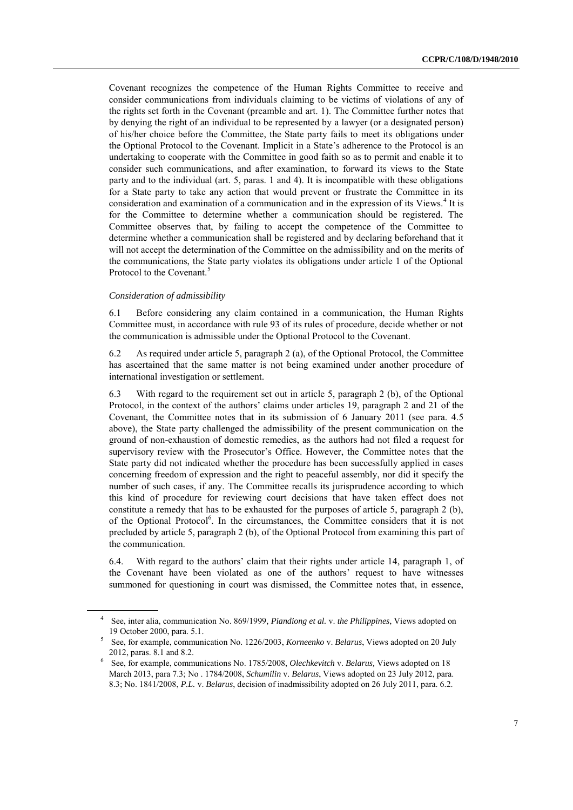Covenant recognizes the competence of the Human Rights Committee to receive and consider communications from individuals claiming to be victims of violations of any of the rights set forth in the Covenant (preamble and art. 1). The Committee further notes that by denying the right of an individual to be represented by a lawyer (or a designated person) of his/her choice before the Committee, the State party fails to meet its obligations under the Optional Protocol to the Covenant. Implicit in a State's adherence to the Protocol is an undertaking to cooperate with the Committee in good faith so as to permit and enable it to consider such communications, and after examination, to forward its views to the State party and to the individual (art. 5, paras. 1 and 4). It is incompatible with these obligations for a State party to take any action that would prevent or frustrate the Committee in its consideration and examination of a communication and in the expression of its Views.<sup>4</sup> It is for the Committee to determine whether a communication should be registered. The Committee observes that, by failing to accept the competence of the Committee to determine whether a communication shall be registered and by declaring beforehand that it will not accept the determination of the Committee on the admissibility and on the merits of the communications, the State party violates its obligations under article 1 of the Optional Protocol to the Covenant.<sup>5</sup>

#### *Consideration of admissibility*

6.1 Before considering any claim contained in a communication, the Human Rights Committee must, in accordance with rule 93 of its rules of procedure, decide whether or not the communication is admissible under the Optional Protocol to the Covenant.

6.2 As required under article 5, paragraph 2 (a), of the Optional Protocol, the Committee has ascertained that the same matter is not being examined under another procedure of international investigation or settlement.

6.3 With regard to the requirement set out in article 5, paragraph 2 (b), of the Optional Protocol, in the context of the authors' claims under articles 19, paragraph 2 and 21 of the Covenant, the Committee notes that in its submission of 6 January 2011 (see para. 4.5 above), the State party challenged the admissibility of the present communication on the ground of non-exhaustion of domestic remedies, as the authors had not filed a request for supervisory review with the Prosecutor's Office. However, the Committee notes that the State party did not indicated whether the procedure has been successfully applied in cases concerning freedom of expression and the right to peaceful assembly, nor did it specify the number of such cases, if any. The Committee recalls its jurisprudence according to which this kind of procedure for reviewing court decisions that have taken effect does not constitute a remedy that has to be exhausted for the purposes of article 5, paragraph 2 (b), of the Optional Protocol<sup>6</sup>. In the circumstances, the Committee considers that it is not precluded by article 5, paragraph 2 (b), of the Optional Protocol from examining this part of the communication.

6.4. With regard to the authors' claim that their rights under article 14, paragraph 1, of the Covenant have been violated as one of the authors' request to have witnesses summoned for questioning in court was dismissed, the Committee notes that, in essence,

<sup>4</sup> See, inter alia, communication No. 869/1999, *Piandiong et al.* v. *the Philippines*, Views adopted on 19 October 2000, para. 5.1.

<sup>5</sup> See, for example, communication No. 1226/2003, *Korneenko* v. *Belarus*, Views adopted on 20 July 2012, paras. 8.1 and 8.2.

<sup>6</sup> See, for example, communications No. 1785/2008, *Olechkevitch* v. *Belarus,* Views adopted on 18 March 2013, para 7.3; No . 1784/2008, *Schumilin* v. *Belarus*, Views adopted on 23 July 2012, para. 8.3; No. 1841/2008, *P.L.* v. *Belarus*, decision of inadmissibility adopted on 26 July 2011, para. 6.2.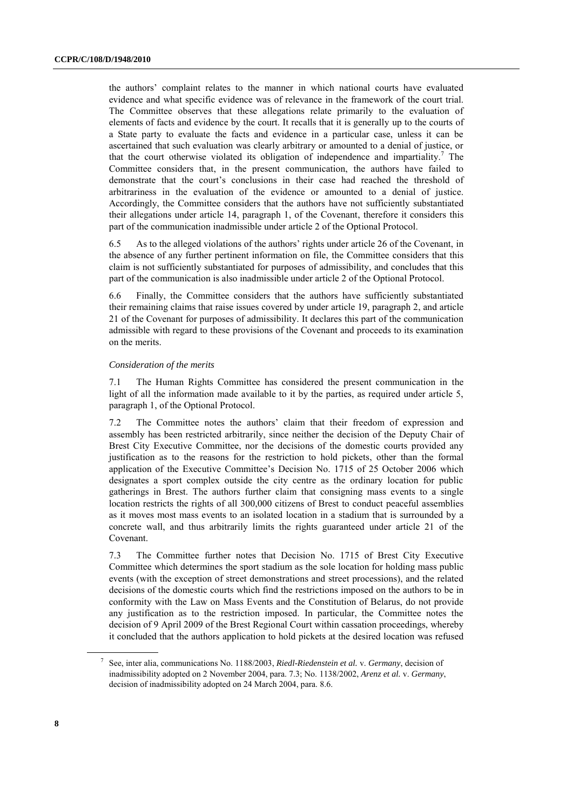the authors' complaint relates to the manner in which national courts have evaluated evidence and what specific evidence was of relevance in the framework of the court trial. The Committee observes that these allegations relate primarily to the evaluation of elements of facts and evidence by the court. It recalls that it is generally up to the courts of a State party to evaluate the facts and evidence in a particular case, unless it can be ascertained that such evaluation was clearly arbitrary or amounted to a denial of justice, or that the court otherwise violated its obligation of independence and impartiality.<sup>7</sup> The Committee considers that, in the present communication, the authors have failed to demonstrate that the court's conclusions in their case had reached the threshold of arbitrariness in the evaluation of the evidence or amounted to a denial of justice. Accordingly, the Committee considers that the authors have not sufficiently substantiated their allegations under article 14, paragraph 1, of the Covenant, therefore it considers this part of the communication inadmissible under article 2 of the Optional Protocol.

6.5 As to the alleged violations of the authors' rights under article 26 of the Covenant, in the absence of any further pertinent information on file, the Committee considers that this claim is not sufficiently substantiated for purposes of admissibility, and concludes that this part of the communication is also inadmissible under article 2 of the Optional Protocol.

6.6 Finally, the Committee considers that the authors have sufficiently substantiated their remaining claims that raise issues covered by under article 19, paragraph 2, and article 21 of the Covenant for purposes of admissibility. It declares this part of the communication admissible with regard to these provisions of the Covenant and proceeds to its examination on the merits.

#### *Consideration of the merits*

7.1 The Human Rights Committee has considered the present communication in the light of all the information made available to it by the parties, as required under article 5, paragraph 1, of the Optional Protocol.

7.2 The Committee notes the authors' claim that their freedom of expression and assembly has been restricted arbitrarily, since neither the decision of the Deputy Chair of Brest City Executive Committee, nor the decisions of the domestic courts provided any justification as to the reasons for the restriction to hold pickets, other than the formal application of the Executive Committee's Decision No. 1715 of 25 October 2006 which designates a sport complex outside the city centre as the ordinary location for public gatherings in Brest. The authors further claim that consigning mass events to a single location restricts the rights of all 300,000 citizens of Brest to conduct peaceful assemblies as it moves most mass events to an isolated location in a stadium that is surrounded by a concrete wall, and thus arbitrarily limits the rights guaranteed under article 21 of the Covenant.

7.3 The Committee further notes that Decision No. 1715 of Brest City Executive Committee which determines the sport stadium as the sole location for holding mass public events (with the exception of street demonstrations and street processions), and the related decisions of the domestic courts which find the restrictions imposed on the authors to be in conformity with the Law on Mass Events and the Constitution of Belarus, do not provide any justification as to the restriction imposed. In particular, the Committee notes the decision of 9 April 2009 of the Brest Regional Court within cassation proceedings, whereby it concluded that the authors application to hold pickets at the desired location was refused

<sup>7</sup> See, inter alia, communications No. 1188/2003, *Riedl-Riedenstein et al.* v. *Germany*, decision of inadmissibility adopted on 2 November 2004, para. 7.3; No. 1138/2002, *Arenz et al.* v. *Germany*, decision of inadmissibility adopted on 24 March 2004, para. 8.6.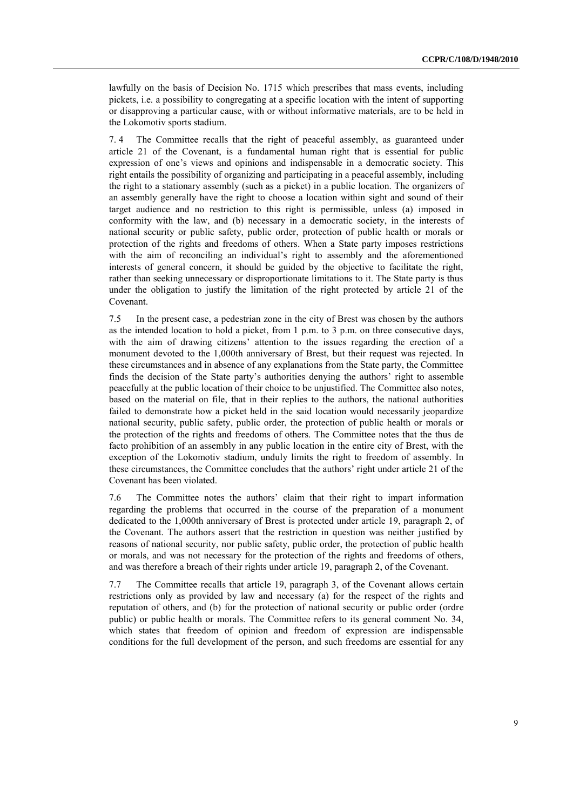lawfully on the basis of Decision No. 1715 which prescribes that mass events, including pickets, i.e. a possibility to congregating at a specific location with the intent of supporting or disapproving a particular cause, with or without informative materials, are to be held in the Lokomotiv sports stadium.

7. 4 The Committee recalls that the right of peaceful assembly, as guaranteed under article 21 of the Covenant, is a fundamental human right that is essential for public expression of one's views and opinions and indispensable in a democratic society. This right entails the possibility of organizing and participating in a peaceful assembly, including the right to a stationary assembly (such as a picket) in a public location. The organizers of an assembly generally have the right to choose a location within sight and sound of their target audience and no restriction to this right is permissible, unless (a) imposed in conformity with the law, and (b) necessary in a democratic society, in the interests of national security or public safety, public order, protection of public health or morals or protection of the rights and freedoms of others. When a State party imposes restrictions with the aim of reconciling an individual's right to assembly and the aforementioned interests of general concern, it should be guided by the objective to facilitate the right, rather than seeking unnecessary or disproportionate limitations to it. The State party is thus under the obligation to justify the limitation of the right protected by article 21 of the Covenant.

7.5 In the present case, a pedestrian zone in the city of Brest was chosen by the authors as the intended location to hold a picket, from  $1 p.m.$  to  $3 p.m.$  on three consecutive days, with the aim of drawing citizens' attention to the issues regarding the erection of a monument devoted to the 1,000th anniversary of Brest, but their request was rejected. In these circumstances and in absence of any explanations from the State party, the Committee finds the decision of the State party's authorities denying the authors' right to assemble peacefully at the public location of their choice to be unjustified. The Committee also notes, based on the material on file, that in their replies to the authors, the national authorities failed to demonstrate how a picket held in the said location would necessarily jeopardize national security, public safety, public order, the protection of public health or morals or the protection of the rights and freedoms of others. The Committee notes that the thus de facto prohibition of an assembly in any public location in the entire city of Brest, with the exception of the Lokomotiv stadium, unduly limits the right to freedom of assembly. In these circumstances, the Committee concludes that the authors' right under article 21 of the Covenant has been violated.

7.6 The Committee notes the authors' claim that their right to impart information regarding the problems that occurred in the course of the preparation of a monument dedicated to the 1,000th anniversary of Brest is protected under article 19, paragraph 2, of the Covenant. The authors assert that the restriction in question was neither justified by reasons of national security, nor public safety, public order, the protection of public health or morals, and was not necessary for the protection of the rights and freedoms of others, and was therefore a breach of their rights under article 19, paragraph 2, of the Covenant.

7.7 The Committee recalls that article 19, paragraph 3, of the Covenant allows certain restrictions only as provided by law and necessary (a) for the respect of the rights and reputation of others, and (b) for the protection of national security or public order (ordre public) or public health or morals. The Committee refers to its general comment No. 34, which states that freedom of opinion and freedom of expression are indispensable conditions for the full development of the person, and such freedoms are essential for any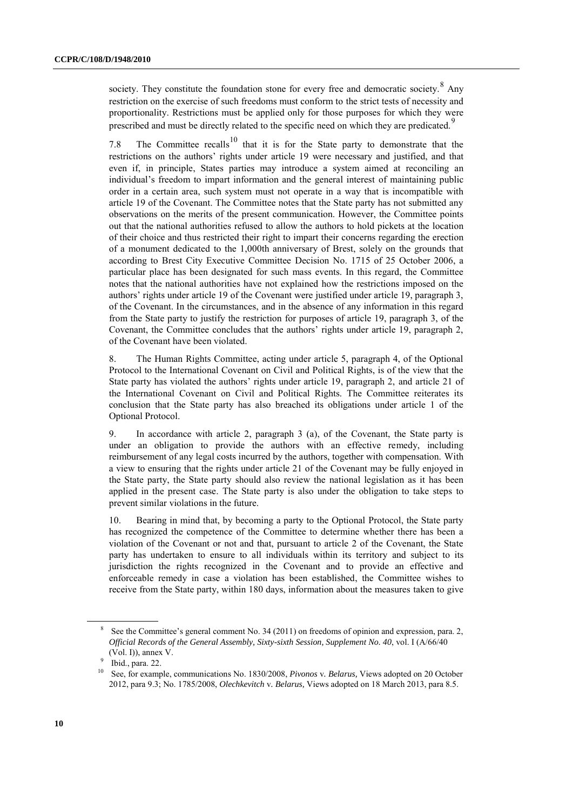society. They constitute the foundation stone for every free and democratic society.  $8$  Any restriction on the exercise of such freedoms must conform to the strict tests of necessity and proportionality. Restrictions must be applied only for those purposes for which they were prescribed and must be directly related to the specific need on which they are predicated.<sup>9</sup>

7.8 The Committee recalls<sup>10</sup> that it is for the State party to demonstrate that the restrictions on the authors' rights under article 19 were necessary and justified, and that even if, in principle, States parties may introduce a system aimed at reconciling an individual's freedom to impart information and the general interest of maintaining public order in a certain area, such system must not operate in a way that is incompatible with article 19 of the Covenant. The Committee notes that the State party has not submitted any observations on the merits of the present communication. However, the Committee points out that the national authorities refused to allow the authors to hold pickets at the location of their choice and thus restricted their right to impart their concerns regarding the erection of a monument dedicated to the 1,000th anniversary of Brest, solely on the grounds that according to Brest City Executive Committee Decision No. 1715 of 25 October 2006, a particular place has been designated for such mass events. In this regard, the Committee notes that the national authorities have not explained how the restrictions imposed on the authors' rights under article 19 of the Covenant were justified under article 19, paragraph 3, of the Covenant. In the circumstances, and in the absence of any information in this regard from the State party to justify the restriction for purposes of article 19, paragraph 3, of the Covenant, the Committee concludes that the authors' rights under article 19, paragraph 2, of the Covenant have been violated.

8. The Human Rights Committee, acting under article 5, paragraph 4, of the Optional Protocol to the International Covenant on Civil and Political Rights, is of the view that the State party has violated the authors' rights under article 19, paragraph 2, and article 21 of the International Covenant on Civil and Political Rights. The Committee reiterates its conclusion that the State party has also breached its obligations under article 1 of the Optional Protocol.

9. In accordance with article 2, paragraph 3 (a), of the Covenant, the State party is under an obligation to provide the authors with an effective remedy, including reimbursement of any legal costs incurred by the authors, together with compensation. With a view to ensuring that the rights under article 21 of the Covenant may be fully enjoyed in the State party, the State party should also review the national legislation as it has been applied in the present case. The State party is also under the obligation to take steps to prevent similar violations in the future.

10. Bearing in mind that, by becoming a party to the Optional Protocol, the State party has recognized the competence of the Committee to determine whether there has been a violation of the Covenant or not and that, pursuant to article 2 of the Covenant, the State party has undertaken to ensure to all individuals within its territory and subject to its jurisdiction the rights recognized in the Covenant and to provide an effective and enforceable remedy in case a violation has been established, the Committee wishes to receive from the State party, within 180 days, information about the measures taken to give

<sup>8</sup> See the Committee's general comment No. 34 (2011) on freedoms of opinion and expression, para. 2, *Official Records of the General Assembly, Sixty-sixth Session, Supplement No. 40*, vol. I (A/66/40 (Vol. I)), annex V.

<sup>9</sup> Ibid., para. 22.

<sup>10</sup> See, for example, communications No. 1830/2008, *Pivonos* v*. Belarus,* Views adopted on 20 October 2012, para 9.3; No. 1785/2008, *Olechkevitch* v*. Belarus,* Views adopted on 18 March 2013, para 8.5.